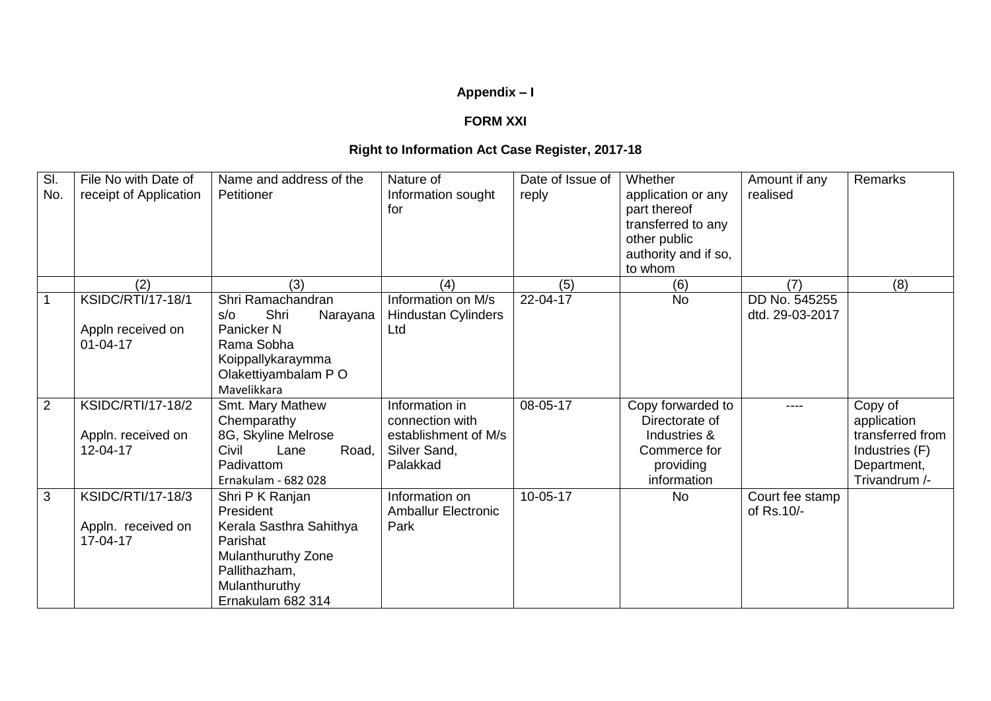## **Appendix – I**

## **FORM XXI**

## **Right to Information Act Case Register, 2017-18**

| $\overline{\mathsf{SI}}$<br>No. | File No with Date of<br>receipt of Application             | Name and address of the<br>Petitioner                                                                                                            | Nature of<br>Information sought<br>for                                                | Date of Issue of<br>reply | Whether<br>application or any<br>part thereof<br>transferred to any<br>other public<br>authority and if so,<br>to whom | Amount if any<br>realised        | Remarks                                                                                      |
|---------------------------------|------------------------------------------------------------|--------------------------------------------------------------------------------------------------------------------------------------------------|---------------------------------------------------------------------------------------|---------------------------|------------------------------------------------------------------------------------------------------------------------|----------------------------------|----------------------------------------------------------------------------------------------|
|                                 | (2)                                                        | (3)                                                                                                                                              | (4)                                                                                   | (5)                       | (6)                                                                                                                    | (7)                              | (8)                                                                                          |
|                                 | KSIDC/RTI/17-18/1<br>Appln received on<br>$01 - 04 - 17$   | Shri Ramachandran<br>Shri<br>$s$ / $\circ$<br>Narayana<br>Panicker N<br>Rama Sobha<br>Koippallykaraymma<br>Olakettiyambalam P O<br>Mavelikkara   | Information on M/s<br><b>Hindustan Cylinders</b><br>Ltd                               | 22-04-17                  | <b>No</b>                                                                                                              | DD No. 545255<br>dtd. 29-03-2017 |                                                                                              |
| $\overline{2}$                  | <b>KSIDC/RTI/17-18/2</b><br>Appln. received on<br>12-04-17 | Smt. Mary Mathew<br>Chemparathy<br>8G, Skyline Melrose<br>Civil<br>Road,<br>Lane<br>Padivattom<br>Ernakulam - 682 028                            | Information in<br>connection with<br>establishment of M/s<br>Silver Sand,<br>Palakkad | 08-05-17                  | Copy forwarded to<br>Directorate of<br>Industries &<br>Commerce for<br>providing<br>information                        | ----                             | Copy of<br>application<br>transferred from<br>Industries (F)<br>Department,<br>Trivandrum /- |
| 3                               | <b>KSIDC/RTI/17-18/3</b><br>Appln. received on<br>17-04-17 | Shri P K Ranjan<br>President<br>Kerala Sasthra Sahithya<br>Parishat<br>Mulanthuruthy Zone<br>Pallithazham,<br>Mulanthuruthy<br>Ernakulam 682 314 | Information on<br><b>Amballur Electronic</b><br>Park                                  | 10-05-17                  | <b>No</b>                                                                                                              | Court fee stamp<br>of Rs.10/-    |                                                                                              |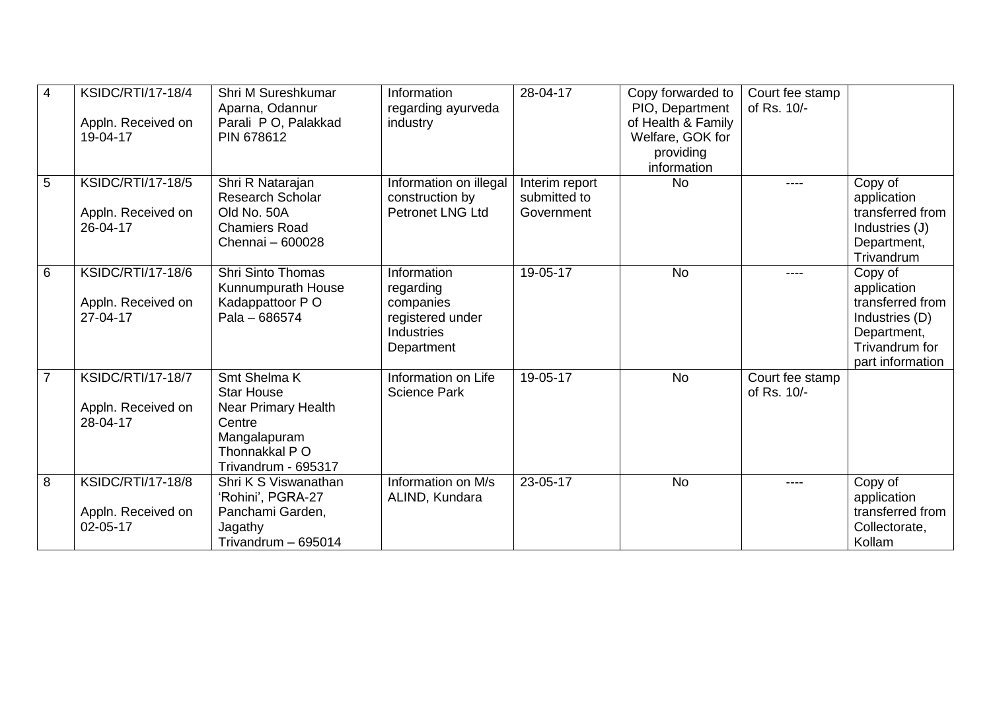| $\overline{4}$  | <b>KSIDC/RTI/17-18/4</b><br>Appln. Received on<br>19-04-17 | Shri M Sureshkumar<br>Aparna, Odannur<br>Parali PO, Palakkad<br>PIN 678612                                                  | Information<br>regarding ayurveda<br>industry                                         | 28-04-17                                     | Copy forwarded to<br>PIO, Department<br>of Health & Family<br>Welfare, GOK for<br>providing<br>information | Court fee stamp<br>of Rs. 10/- |                                                                                                                   |
|-----------------|------------------------------------------------------------|-----------------------------------------------------------------------------------------------------------------------------|---------------------------------------------------------------------------------------|----------------------------------------------|------------------------------------------------------------------------------------------------------------|--------------------------------|-------------------------------------------------------------------------------------------------------------------|
| 5               | <b>KSIDC/RTI/17-18/5</b><br>Appln. Received on<br>26-04-17 | Shri R Natarajan<br><b>Research Scholar</b><br>Old No. 50A<br><b>Chamiers Road</b><br>Chennai - 600028                      | Information on illegal<br>construction by<br><b>Petronet LNG Ltd</b>                  | Interim report<br>submitted to<br>Government | <b>No</b>                                                                                                  | ----                           | Copy of<br>application<br>transferred from<br>Industries (J)<br>Department,<br>Trivandrum                         |
| $6\phantom{1}6$ | <b>KSIDC/RTI/17-18/6</b><br>Appln. Received on<br>27-04-17 | <b>Shri Sinto Thomas</b><br>Kunnumpurath House<br>Kadappattoor PO<br>Pala - 686574                                          | Information<br>regarding<br>companies<br>registered under<br>Industries<br>Department | 19-05-17                                     | <b>No</b>                                                                                                  | ----                           | Copy of<br>application<br>transferred from<br>Industries (D)<br>Department,<br>Trivandrum for<br>part information |
| $\overline{7}$  | <b>KSIDC/RTI/17-18/7</b><br>Appln. Received on<br>28-04-17 | Smt Shelma K<br><b>Star House</b><br>Near Primary Health<br>Centre<br>Mangalapuram<br>Thonnakkal P O<br>Trivandrum - 695317 | Information on Life<br><b>Science Park</b>                                            | 19-05-17                                     | <b>No</b>                                                                                                  | Court fee stamp<br>of Rs. 10/- |                                                                                                                   |
| 8               | <b>KSIDC/RTI/17-18/8</b><br>Appln. Received on<br>02-05-17 | Shri K S Viswanathan<br>'Rohini', PGRA-27<br>Panchami Garden,<br>Jagathy<br>Trivandrum - 695014                             | Information on M/s<br>ALIND, Kundara                                                  | 23-05-17                                     | <b>No</b>                                                                                                  | ----                           | Copy of<br>application<br>transferred from<br>Collectorate,<br>Kollam                                             |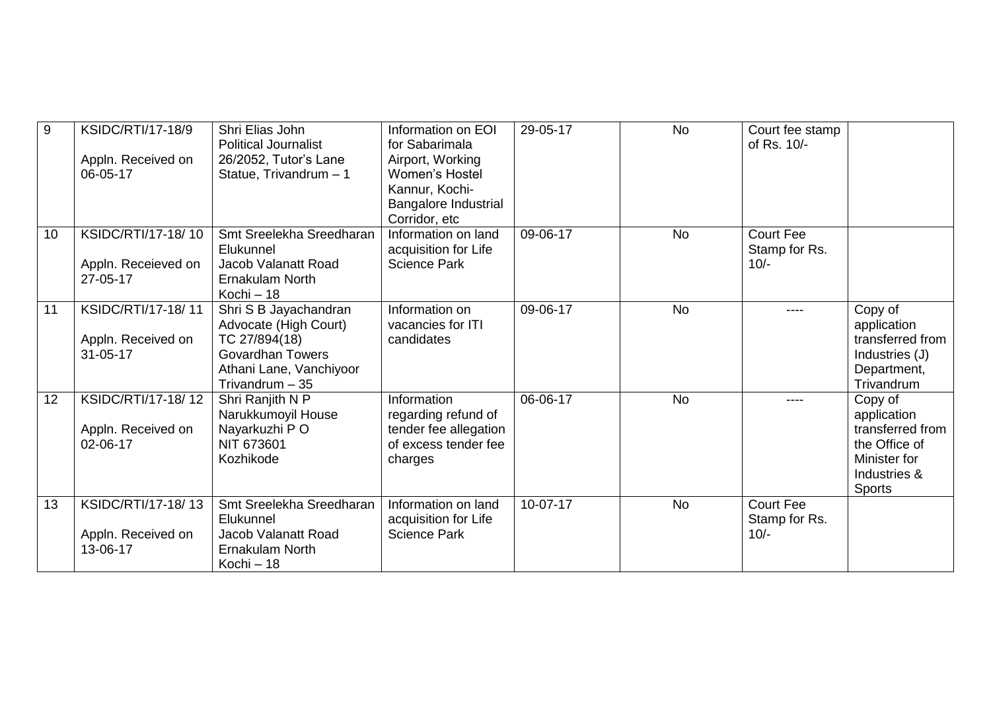| $9\,$ | KSIDC/RTI/17-18/9<br>Appln. Received on<br>06-05-17        | Shri Elias John<br><b>Political Journalist</b><br>26/2052, Tutor's Lane<br>Statue, Trivandrum - 1                                         | Information on EOI<br>for Sabarimala<br>Airport, Working<br>Women's Hostel<br>Kannur, Kochi-<br>Bangalore Industrial<br>Corridor, etc | 29-05-17 | <b>No</b> | Court fee stamp<br>of Rs. 10/-              |                                                                                                              |
|-------|------------------------------------------------------------|-------------------------------------------------------------------------------------------------------------------------------------------|---------------------------------------------------------------------------------------------------------------------------------------|----------|-----------|---------------------------------------------|--------------------------------------------------------------------------------------------------------------|
| 10    | KSIDC/RTI/17-18/10<br>Appln. Receieved on<br>27-05-17      | Smt Sreelekha Sreedharan<br>Elukunnel<br>Jacob Valanatt Road<br><b>Ernakulam North</b><br>Kochi - 18                                      | Information on land<br>acquisition for Life<br><b>Science Park</b>                                                                    | 09-06-17 | <b>No</b> | <b>Court Fee</b><br>Stamp for Rs.<br>$10/-$ |                                                                                                              |
| 11    | KSIDC/RTI/17-18/11<br>Appln. Received on<br>$31 - 05 - 17$ | Shri S B Jayachandran<br>Advocate (High Court)<br>TC 27/894(18)<br><b>Govardhan Towers</b><br>Athani Lane, Vanchiyoor<br>Trivandrum $-35$ | Information on<br>vacancies for ITI<br>candidates                                                                                     | 09-06-17 | <b>No</b> | ----                                        | Copy of<br>application<br>transferred from<br>Industries (J)<br>Department,<br>Trivandrum                    |
| 12    | KSIDC/RTI/17-18/12<br>Appln. Received on<br>02-06-17       | Shri Ranjith N P<br>Narukkumoyil House<br>Nayarkuzhi PO<br>NIT 673601<br>Kozhikode                                                        | Information<br>regarding refund of<br>tender fee allegation<br>of excess tender fee<br>charges                                        | 06-06-17 | <b>No</b> | ----                                        | Copy of<br>application<br>transferred from<br>the Office of<br>Minister for<br>Industries &<br><b>Sports</b> |
| 13    | KSIDC/RTI/17-18/13<br>Appln. Received on<br>13-06-17       | Smt Sreelekha Sreedharan<br>Elukunnel<br>Jacob Valanatt Road<br><b>Ernakulam North</b><br>Kochi - 18                                      | Information on land<br>acquisition for Life<br><b>Science Park</b>                                                                    | 10-07-17 | <b>No</b> | <b>Court Fee</b><br>Stamp for Rs.<br>$10/-$ |                                                                                                              |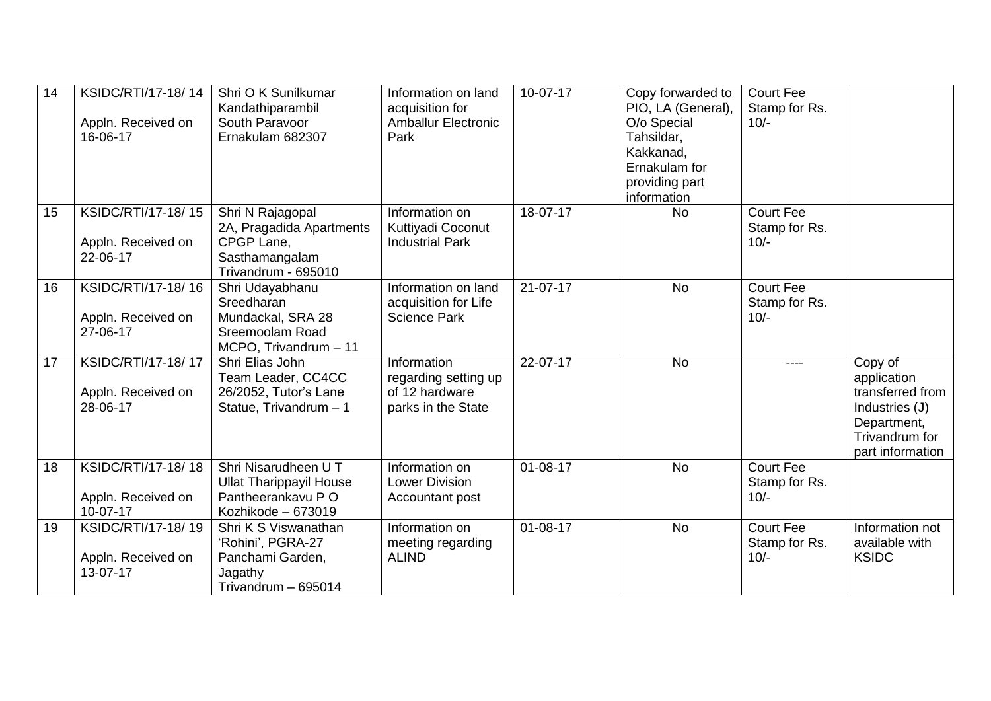| 14 | KSIDC/RTI/17-18/14<br>Appln. Received on<br>16-06-17 | Shri O K Sunilkumar<br>Kandathiparambil<br>South Paravoor<br>Ernakulam 682307                       | Information on land<br>acquisition for<br><b>Amballur Electronic</b><br>Park | 10-07-17       | Copy forwarded to<br>PIO, LA (General),<br>O/o Special<br>Tahsildar,<br>Kakkanad,<br>Ernakulam for<br>providing part<br>information | <b>Court Fee</b><br>Stamp for Rs.<br>$10/-$ |                                                                                                                   |
|----|------------------------------------------------------|-----------------------------------------------------------------------------------------------------|------------------------------------------------------------------------------|----------------|-------------------------------------------------------------------------------------------------------------------------------------|---------------------------------------------|-------------------------------------------------------------------------------------------------------------------|
| 15 | KSIDC/RTI/17-18/15<br>Appln. Received on<br>22-06-17 | Shri N Rajagopal<br>2A, Pragadida Apartments<br>CPGP Lane,<br>Sasthamangalam<br>Trivandrum - 695010 | Information on<br>Kuttiyadi Coconut<br><b>Industrial Park</b>                | 18-07-17       | <b>No</b>                                                                                                                           | <b>Court Fee</b><br>Stamp for Rs.<br>$10/-$ |                                                                                                                   |
| 16 | KSIDC/RTI/17-18/16<br>Appln. Received on<br>27-06-17 | Shri Udayabhanu<br>Sreedharan<br>Mundackal, SRA 28<br>Sreemoolam Road<br>MCPO, Trivandrum - 11      | Information on land<br>acquisition for Life<br><b>Science Park</b>           | $21 - 07 - 17$ | <b>No</b>                                                                                                                           | <b>Court Fee</b><br>Stamp for Rs.<br>$10/-$ |                                                                                                                   |
| 17 | KSIDC/RTI/17-18/17<br>Appln. Received on<br>28-06-17 | Shri Elias John<br>Team Leader, CC4CC<br>26/2052, Tutor's Lane<br>Statue, Trivandrum - 1            | Information<br>regarding setting up<br>of 12 hardware<br>parks in the State  | 22-07-17       | <b>No</b>                                                                                                                           | ----                                        | Copy of<br>application<br>transferred from<br>Industries (J)<br>Department,<br>Trivandrum for<br>part information |
| 18 | KSIDC/RTI/17-18/18<br>Appln. Received on<br>10-07-17 | Shri Nisarudheen U T<br><b>Ullat Tharippayil House</b><br>Pantheerankavu PO<br>Kozhikode - 673019   | Information on<br><b>Lower Division</b><br>Accountant post                   | $01 - 08 - 17$ | <b>No</b>                                                                                                                           | <b>Court Fee</b><br>Stamp for Rs.<br>$10/-$ |                                                                                                                   |
| 19 | KSIDC/RTI/17-18/19<br>Appln. Received on<br>13-07-17 | Shri K S Viswanathan<br>'Rohini', PGRA-27<br>Panchami Garden,<br>Jagathy<br>Trivandrum - 695014     | Information on<br>meeting regarding<br><b>ALIND</b>                          | $01 - 08 - 17$ | <b>No</b>                                                                                                                           | <b>Court Fee</b><br>Stamp for Rs.<br>$10/-$ | Information not<br>available with<br><b>KSIDC</b>                                                                 |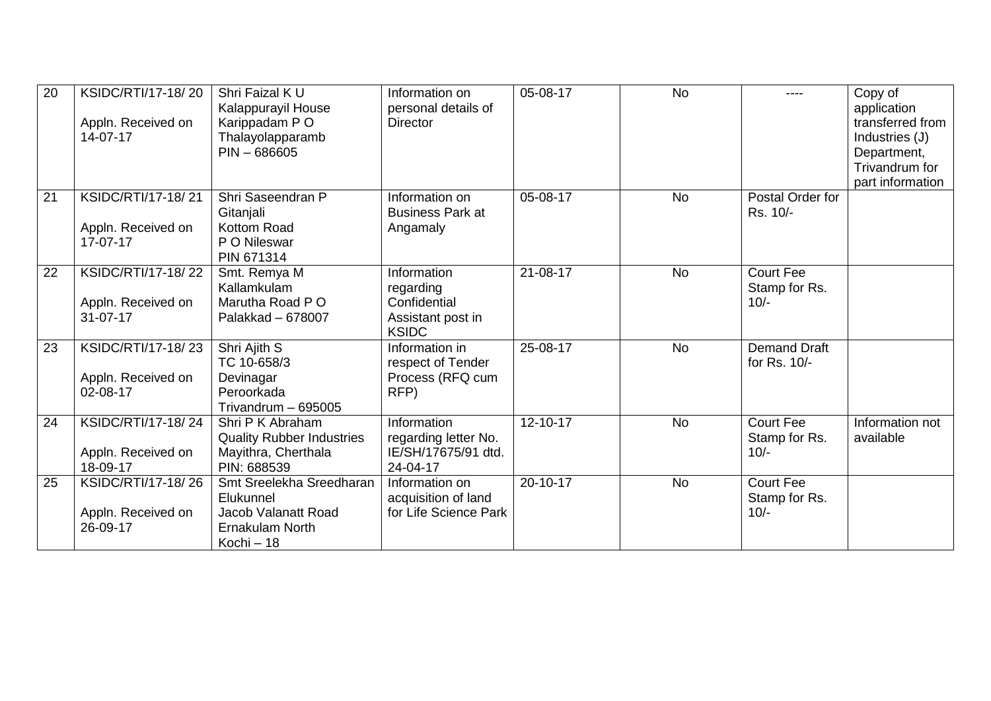| 20 | KSIDC/RTI/17-18/20<br>Appln. Received on<br>14-07-17       | Shri Faizal K U<br>Kalappurayil House<br>Karippadam PO<br>Thalayolapparamb<br>$PIN - 686605$         | Information on<br>personal details of<br><b>Director</b>                      | 05-08-17       | <b>No</b> | ----                                        | Copy of<br>application<br>transferred from<br>Industries (J)<br>Department,<br>Trivandrum for<br>part information |
|----|------------------------------------------------------------|------------------------------------------------------------------------------------------------------|-------------------------------------------------------------------------------|----------------|-----------|---------------------------------------------|-------------------------------------------------------------------------------------------------------------------|
| 21 | KSIDC/RTI/17-18/21<br>Appln. Received on<br>17-07-17       | Shri Saseendran P<br>Gitanjali<br>Kottom Road<br>P O Nileswar<br>PIN 671314                          | Information on<br><b>Business Park at</b><br>Angamaly                         | 05-08-17       | <b>No</b> | Postal Order for<br>Rs. 10/-                |                                                                                                                   |
| 22 | KSIDC/RTI/17-18/22<br>Appln. Received on<br>$31 - 07 - 17$ | Smt. Remya M<br>Kallamkulam<br>Marutha Road P O<br>Palakkad - 678007                                 | Information<br>regarding<br>Confidential<br>Assistant post in<br><b>KSIDC</b> | $21 - 08 - 17$ | <b>No</b> | <b>Court Fee</b><br>Stamp for Rs.<br>$10/-$ |                                                                                                                   |
| 23 | KSIDC/RTI/17-18/23<br>Appln. Received on<br>02-08-17       | Shri Ajith S<br>TC 10-658/3<br>Devinagar<br>Peroorkada<br>Trivandrum - 695005                        | Information in<br>respect of Tender<br>Process (RFQ cum<br>RFP)               | 25-08-17       | <b>No</b> | <b>Demand Draft</b><br>for Rs. 10/-         |                                                                                                                   |
| 24 | KSIDC/RTI/17-18/24<br>Appln. Received on<br>18-09-17       | Shri P K Abraham<br><b>Quality Rubber Industries</b><br>Mayithra, Cherthala<br>PIN: 688539           | Information<br>regarding letter No.<br>IE/SH/17675/91 dtd.<br>24-04-17        | 12-10-17       | <b>No</b> | <b>Court Fee</b><br>Stamp for Rs.<br>$10/-$ | Information not<br>available                                                                                      |
| 25 | KSIDC/RTI/17-18/26<br>Appln. Received on<br>26-09-17       | Smt Sreelekha Sreedharan<br>Elukunnel<br>Jacob Valanatt Road<br><b>Ernakulam North</b><br>Kochi - 18 | Information on<br>acquisition of land<br>for Life Science Park                | 20-10-17       | <b>No</b> | <b>Court Fee</b><br>Stamp for Rs.<br>$10/-$ |                                                                                                                   |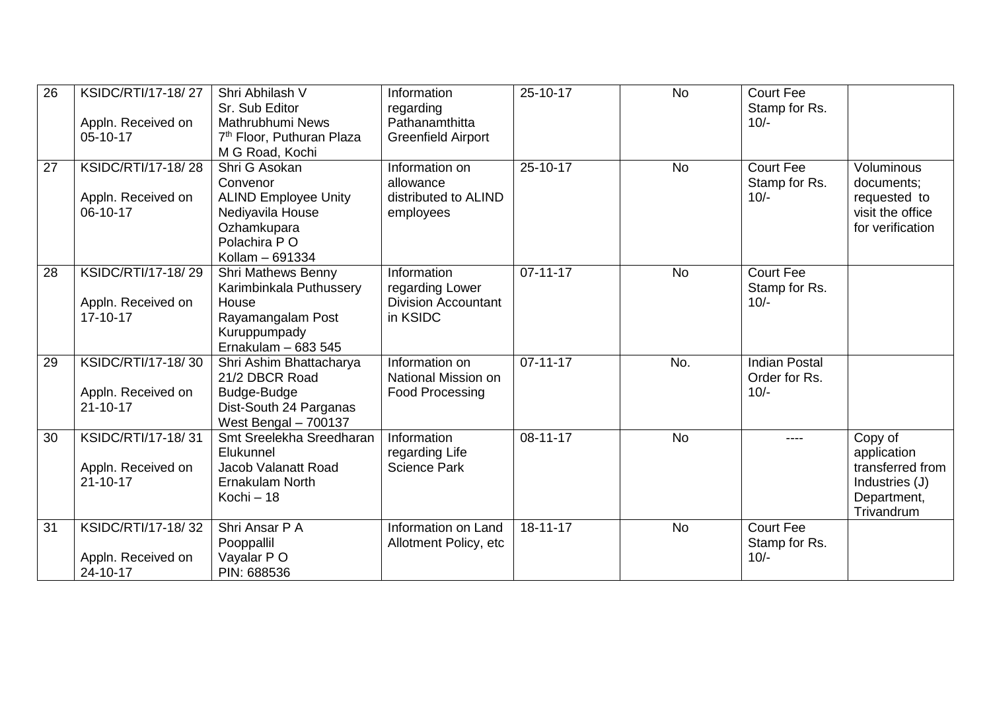| 26 | KSIDC/RTI/17-18/27<br>Appln. Received on<br>05-10-17       | Shri Abhilash V<br>Sr. Sub Editor<br>Mathrubhumi News<br>7 <sup>th</sup> Floor, Puthuran Plaza<br>M G Road, Kochi               | Information<br>regarding<br>Pathanamthitta<br><b>Greenfield Airport</b>  | $25 - 10 - 17$ | <b>No</b> | <b>Court Fee</b><br>Stamp for Rs.<br>$10/-$     |                                                                                           |
|----|------------------------------------------------------------|---------------------------------------------------------------------------------------------------------------------------------|--------------------------------------------------------------------------|----------------|-----------|-------------------------------------------------|-------------------------------------------------------------------------------------------|
| 27 | KSIDC/RTI/17-18/28<br>Appln. Received on<br>06-10-17       | Shri G Asokan<br>Convenor<br><b>ALIND Employee Unity</b><br>Nediyavila House<br>Ozhamkupara<br>Polachira P O<br>Kollam - 691334 | Information on<br>allowance<br>distributed to ALIND<br>employees         | 25-10-17       | <b>No</b> | <b>Court Fee</b><br>Stamp for Rs.<br>$10/-$     | Voluminous<br>documents;<br>requested to<br>visit the office<br>for verification          |
| 28 | KSIDC/RTI/17-18/29<br>Appln. Received on<br>$17 - 10 - 17$ | <b>Shri Mathews Benny</b><br>Karimbinkala Puthussery<br>House<br>Rayamangalam Post<br>Kuruppumpady<br>Ernakulam $-683545$       | Information<br>regarding Lower<br><b>Division Accountant</b><br>in KSIDC | $07 - 11 - 17$ | <b>No</b> | <b>Court Fee</b><br>Stamp for Rs.<br>$10/-$     |                                                                                           |
| 29 | KSIDC/RTI/17-18/30<br>Appln. Received on<br>$21 - 10 - 17$ | Shri Ashim Bhattacharya<br>21/2 DBCR Road<br>Budge-Budge<br>Dist-South 24 Parganas<br>West Bengal - 700137                      | Information on<br>National Mission on<br><b>Food Processing</b>          | $07 - 11 - 17$ | No.       | <b>Indian Postal</b><br>Order for Rs.<br>$10/-$ |                                                                                           |
| 30 | KSIDC/RTI/17-18/31<br>Appln. Received on<br>$21 - 10 - 17$ | Smt Sreelekha Sreedharan<br>Elukunnel<br>Jacob Valanatt Road<br><b>Ernakulam North</b><br>Kochi - 18                            | Information<br>regarding Life<br><b>Science Park</b>                     | 08-11-17       | <b>No</b> | ----                                            | Copy of<br>application<br>transferred from<br>Industries (J)<br>Department,<br>Trivandrum |
| 31 | KSIDC/RTI/17-18/32<br>Appln. Received on<br>24-10-17       | Shri Ansar P A<br>Pooppallil<br>Vayalar PO<br>PIN: 688536                                                                       | Information on Land<br>Allotment Policy, etc                             | 18-11-17       | <b>No</b> | <b>Court Fee</b><br>Stamp for Rs.<br>$10/-$     |                                                                                           |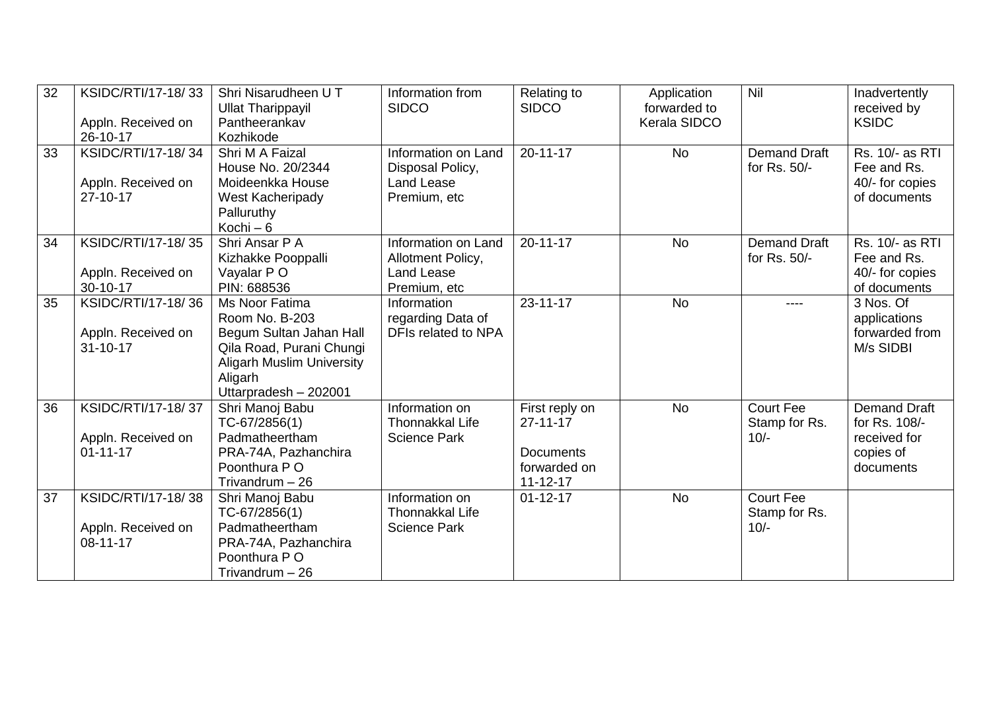| 32 | KSIDC/RTI/17-18/33<br>Appln. Received on<br>26-10-17       | Shri Nisarudheen U T<br><b>Ullat Tharippayil</b><br>Pantheerankav<br>Kozhikode                                                                                  | Information from<br><b>SIDCO</b>                                             | Relating to<br><b>SIDCO</b>                                                            | Application<br>forwarded to<br>Kerala SIDCO | Nil                                         | Inadvertently<br>received by<br><b>KSIDC</b>                                   |
|----|------------------------------------------------------------|-----------------------------------------------------------------------------------------------------------------------------------------------------------------|------------------------------------------------------------------------------|----------------------------------------------------------------------------------------|---------------------------------------------|---------------------------------------------|--------------------------------------------------------------------------------|
| 33 | KSIDC/RTI/17-18/34<br>Appln. Received on<br>$27 - 10 - 17$ | Shri M A Faizal<br>House No. 20/2344<br>Moideenkka House<br>West Kacheripady<br>Palluruthy<br>Kochi $-6$                                                        | Information on Land<br>Disposal Policy,<br><b>Land Lease</b><br>Premium, etc | $20 - 11 - 17$                                                                         | <b>No</b>                                   | <b>Demand Draft</b><br>for Rs. 50/-         | Rs. 10/- as RTI<br>Fee and Rs.<br>40/- for copies<br>of documents              |
| 34 | KSIDC/RTI/17-18/35<br>Appln. Received on<br>30-10-17       | Shri Ansar P A<br>Kizhakke Pooppalli<br>Vayalar PO<br>PIN: 688536                                                                                               | Information on Land<br>Allotment Policy,<br>Land Lease<br>Premium, etc       | $20 - 11 - 17$                                                                         | <b>No</b>                                   | Demand Draft<br>for Rs. 50/-                | Rs. 10/- as RTI<br>Fee and Rs.<br>40/- for copies<br>of documents              |
| 35 | KSIDC/RTI/17-18/36<br>Appln. Received on<br>$31 - 10 - 17$ | Ms Noor Fatima<br>Room No. B-203<br>Begum Sultan Jahan Hall<br>Qila Road, Purani Chungi<br><b>Aligarh Muslim University</b><br>Aligarh<br>Uttarpradesh - 202001 | Information<br>regarding Data of<br>DFIs related to NPA                      | $23 - 11 - 17$                                                                         | <b>No</b>                                   | ----                                        | 3 Nos. Of<br>applications<br>forwarded from<br>M/s SIDBI                       |
| 36 | KSIDC/RTI/17-18/37<br>Appln. Received on<br>$01 - 11 - 17$ | Shri Manoj Babu<br>TC-67/2856(1)<br>Padmatheertham<br>PRA-74A, Pazhanchira<br>Poonthura PO<br>Trivandrum - 26                                                   | Information on<br><b>Thonnakkal Life</b><br><b>Science Park</b>              | First reply on<br>$27 - 11 - 17$<br><b>Documents</b><br>forwarded on<br>$11 - 12 - 17$ | <b>No</b>                                   | <b>Court Fee</b><br>Stamp for Rs.<br>$10/-$ | <b>Demand Draft</b><br>for Rs. 108/-<br>received for<br>copies of<br>documents |
| 37 | KSIDC/RTI/17-18/38<br>Appln. Received on<br>$08 - 11 - 17$ | Shri Manoj Babu<br>TC-67/2856(1)<br>Padmatheertham<br>PRA-74A, Pazhanchira<br>Poonthura PO<br>Trivandrum - 26                                                   | Information on<br><b>Thonnakkal Life</b><br><b>Science Park</b>              | $01 - 12 - 17$                                                                         | <b>No</b>                                   | <b>Court Fee</b><br>Stamp for Rs.<br>$10/-$ |                                                                                |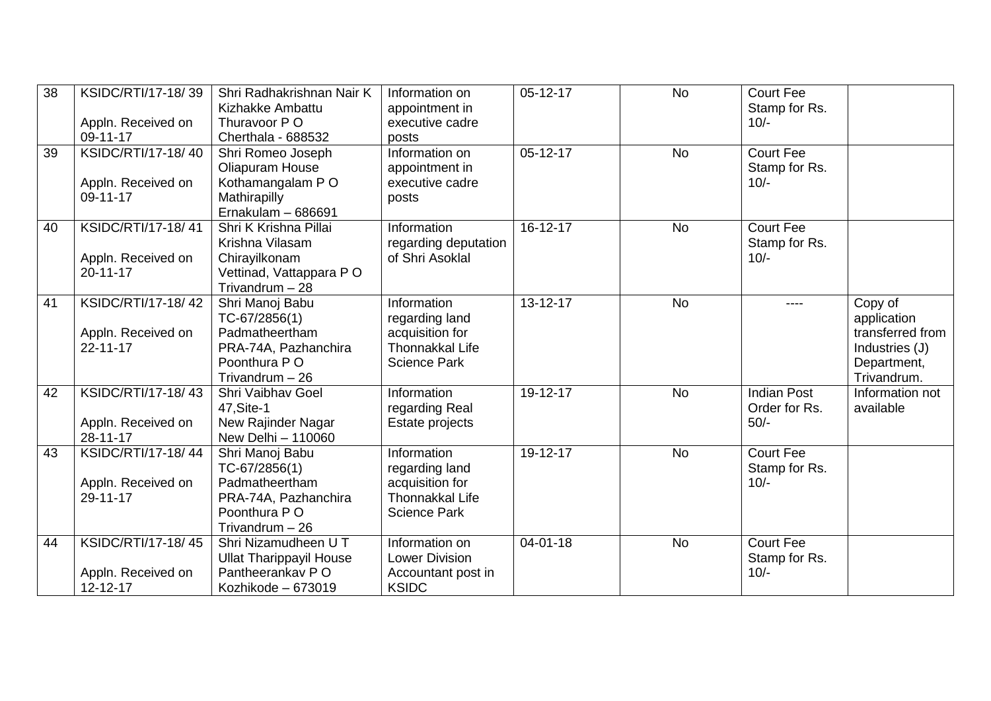| 38 | KSIDC/RTI/17-18/39 | Shri Radhakrishnan Nair K<br>Kizhakke Ambattu | Information on<br>appointment in | $05-12-17$     | <b>No</b> | <b>Court Fee</b><br>Stamp for Rs. |                  |
|----|--------------------|-----------------------------------------------|----------------------------------|----------------|-----------|-----------------------------------|------------------|
|    | Appln. Received on | Thuravoor P O                                 | executive cadre                  |                |           | $10/-$                            |                  |
|    | 09-11-17           | Cherthala - 688532                            | posts                            |                |           |                                   |                  |
| 39 | KSIDC/RTI/17-18/40 | Shri Romeo Joseph                             | Information on                   | $05 - 12 - 17$ | <b>No</b> | <b>Court Fee</b>                  |                  |
|    |                    | Oliapuram House                               | appointment in                   |                |           | Stamp for Rs.                     |                  |
|    | Appln. Received on | Kothamangalam PO                              | executive cadre                  |                |           | $10/-$                            |                  |
|    | 09-11-17           | Mathirapilly                                  | posts                            |                |           |                                   |                  |
|    |                    | Ernakulam $-686691$                           |                                  |                |           |                                   |                  |
| 40 | KSIDC/RTI/17-18/41 | Shri K Krishna Pillai                         | Information                      | $16 - 12 - 17$ | <b>No</b> | <b>Court Fee</b>                  |                  |
|    |                    | Krishna Vilasam                               | regarding deputation             |                |           | Stamp for Rs.                     |                  |
|    | Appln. Received on | Chirayilkonam                                 | of Shri Asoklal                  |                |           | $10/-$                            |                  |
|    | $20 - 11 - 17$     | Vettinad, Vattappara PO                       |                                  |                |           |                                   |                  |
|    |                    | Trivandrum $-28$                              |                                  |                |           |                                   |                  |
| 41 | KSIDC/RTI/17-18/42 | Shri Manoj Babu                               | Information                      | 13-12-17       | <b>No</b> |                                   | Copy of          |
|    |                    | TC-67/2856(1)                                 | regarding land                   |                |           |                                   | application      |
|    | Appln. Received on | Padmatheertham                                | acquisition for                  |                |           |                                   | transferred from |
|    | $22 - 11 - 17$     | PRA-74A, Pazhanchira                          | Thonnakkal Life                  |                |           |                                   | Industries (J)   |
|    |                    | Poonthura PO                                  | <b>Science Park</b>              |                |           |                                   | Department,      |
|    |                    | Trivandrum $-26$                              |                                  |                |           |                                   | Trivandrum.      |
| 42 | KSIDC/RTI/17-18/43 | Shri Vaibhav Goel                             | Information                      | 19-12-17       | <b>No</b> | <b>Indian Post</b>                | Information not  |
|    |                    | 47, Site-1                                    | regarding Real                   |                |           | Order for Rs.                     | available        |
|    | Appln. Received on | New Rajinder Nagar                            | Estate projects                  |                |           | $50/-$                            |                  |
|    | $28 - 11 - 17$     | New Delhi - 110060                            |                                  |                |           |                                   |                  |
| 43 | KSIDC/RTI/17-18/44 | Shri Manoj Babu                               | Information                      | 19-12-17       | <b>No</b> | <b>Court Fee</b>                  |                  |
|    |                    | $TC-67/2856(1)$                               | regarding land                   |                |           | Stamp for Rs.                     |                  |
|    | Appln. Received on | Padmatheertham                                | acquisition for                  |                |           | $10/-$                            |                  |
|    | 29-11-17           | PRA-74A, Pazhanchira                          | Thonnakkal Life                  |                |           |                                   |                  |
|    |                    | Poonthura PO                                  | <b>Science Park</b>              |                |           |                                   |                  |
|    |                    | Trivandrum $-26$                              |                                  |                |           |                                   |                  |
| 44 | KSIDC/RTI/17-18/45 | Shri Nizamudheen U T                          | Information on                   | $04 - 01 - 18$ | <b>No</b> | <b>Court Fee</b>                  |                  |
|    |                    | <b>Ullat Tharippayil House</b>                | <b>Lower Division</b>            |                |           | Stamp for Rs.                     |                  |
|    | Appln. Received on | Pantheerankav PO                              | Accountant post in               |                |           | $10/-$                            |                  |
|    | 12-12-17           | Kozhikode - 673019                            | <b>KSIDC</b>                     |                |           |                                   |                  |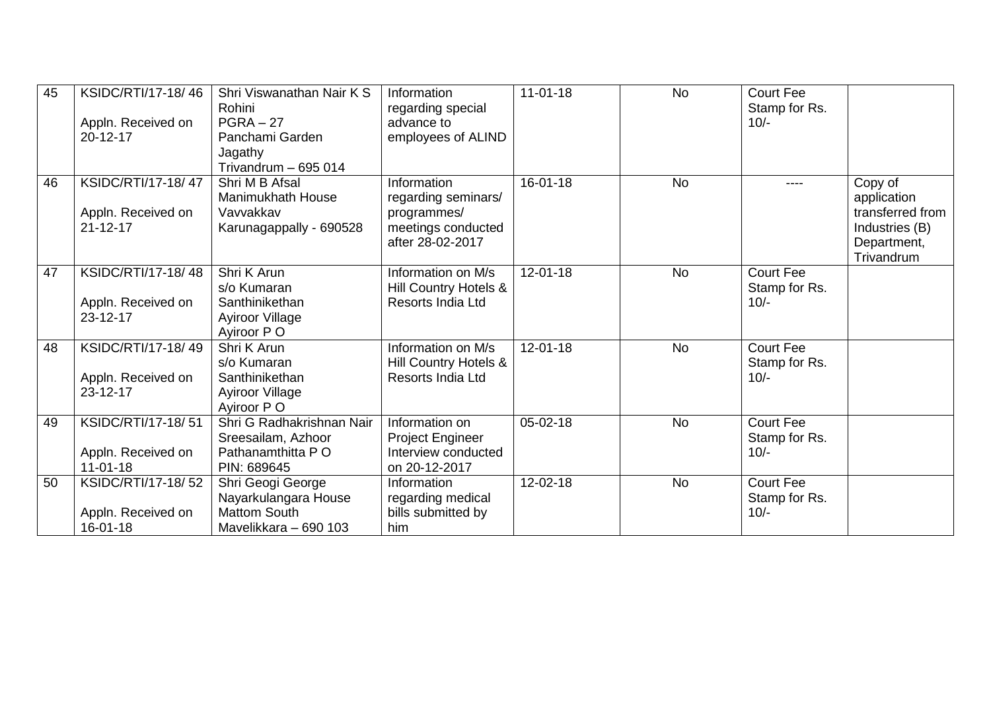| 45 | KSIDC/RTI/17-18/46<br>Appln. Received on<br>20-12-17       | Shri Viswanathan Nair K S<br>Rohini<br>$PGRA - 27$<br>Panchami Garden<br>Jagathy<br>Trivandrum - 695 014 | Information<br>regarding special<br>advance to<br>employees of ALIND                        | $11 - 01 - 18$ | <b>No</b> | <b>Court Fee</b><br>Stamp for Rs.<br>$10/-$ |                                                                                           |
|----|------------------------------------------------------------|----------------------------------------------------------------------------------------------------------|---------------------------------------------------------------------------------------------|----------------|-----------|---------------------------------------------|-------------------------------------------------------------------------------------------|
| 46 | KSIDC/RTI/17-18/47<br>Appln. Received on<br>$21 - 12 - 17$ | Shri M B Afsal<br>Manimukhath House<br>Vavvakkav<br>Karunagappally - 690528                              | Information<br>regarding seminars/<br>programmes/<br>meetings conducted<br>after 28-02-2017 | $16 - 01 - 18$ | <b>No</b> | ----                                        | Copy of<br>application<br>transferred from<br>Industries (B)<br>Department,<br>Trivandrum |
| 47 | KSIDC/RTI/17-18/48<br>Appln. Received on<br>$23 - 12 - 17$ | Shri K Arun<br>s/o Kumaran<br>Santhinikethan<br>Ayiroor Village<br>Aviroor P O                           | Information on M/s<br>Hill Country Hotels &<br><b>Resorts India Ltd</b>                     | $12 - 01 - 18$ | <b>No</b> | <b>Court Fee</b><br>Stamp for Rs.<br>$10/-$ |                                                                                           |
| 48 | KSIDC/RTI/17-18/49<br>Appln. Received on<br>$23 - 12 - 17$ | Shri K Arun<br>s/o Kumaran<br>Santhinikethan<br>Ayiroor Village<br>Ayiroor P O                           | Information on M/s<br>Hill Country Hotels &<br>Resorts India Ltd                            | $12 - 01 - 18$ | <b>No</b> | <b>Court Fee</b><br>Stamp for Rs.<br>$10/-$ |                                                                                           |
| 49 | KSIDC/RTI/17-18/51<br>Appln. Received on<br>$11 - 01 - 18$ | Shri G Radhakrishnan Nair<br>Sreesailam, Azhoor<br>Pathanamthitta PO<br>PIN: 689645                      | Information on<br>Project Engineer<br>Interview conducted<br>on 20-12-2017                  | $05 - 02 - 18$ | <b>No</b> | <b>Court Fee</b><br>Stamp for Rs.<br>$10/-$ |                                                                                           |
| 50 | KSIDC/RTI/17-18/52<br>Appln. Received on<br>16-01-18       | Shri Geogi George<br>Nayarkulangara House<br><b>Mattom South</b><br>Mavelikkara - 690 103                | Information<br>regarding medical<br>bills submitted by<br>him                               | 12-02-18       | <b>No</b> | <b>Court Fee</b><br>Stamp for Rs.<br>$10/-$ |                                                                                           |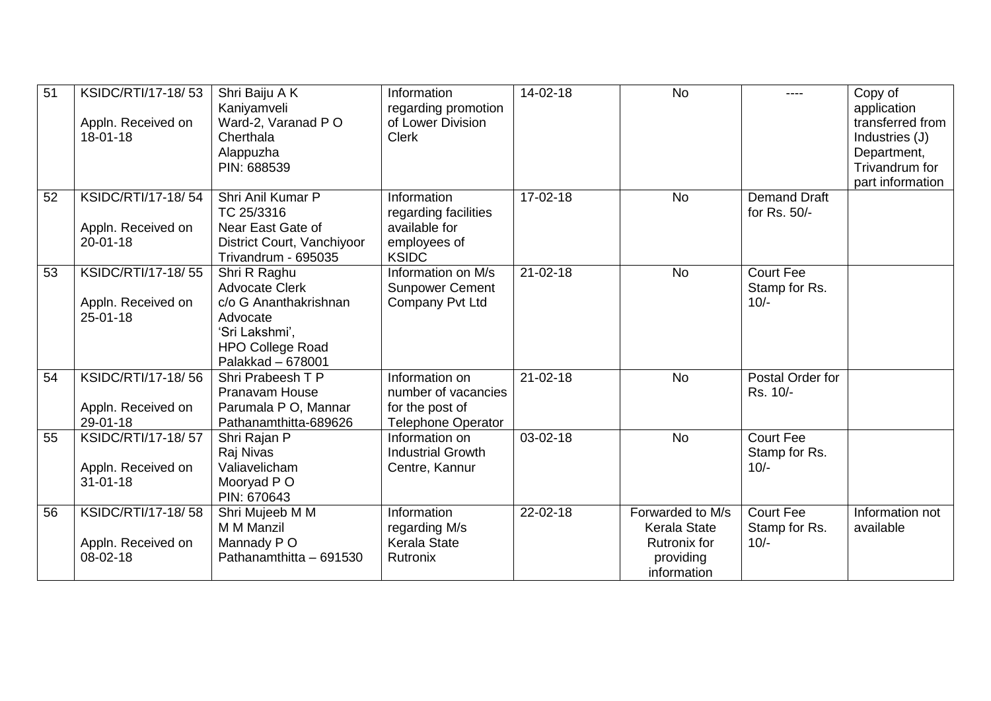| 51 | KSIDC/RTI/17-18/53<br>Appln. Received on<br>$18 - 01 - 18$ | Shri Baiju A K<br>Kaniyamveli<br>Ward-2, Varanad PO<br>Cherthala<br>Alappuzha<br>PIN: 688539                                                 | Information<br>regarding promotion<br>of Lower Division<br><b>Clerk</b>               | 14-02-18       | <b>No</b>                                                                           | ----                                        | Copy of<br>application<br>transferred from<br>Industries (J)<br>Department,<br>Trivandrum for<br>part information |
|----|------------------------------------------------------------|----------------------------------------------------------------------------------------------------------------------------------------------|---------------------------------------------------------------------------------------|----------------|-------------------------------------------------------------------------------------|---------------------------------------------|-------------------------------------------------------------------------------------------------------------------|
| 52 | KSIDC/RTI/17-18/54<br>Appln. Received on<br>$20 - 01 - 18$ | Shri Anil Kumar P<br>TC 25/3316<br>Near East Gate of<br>District Court, Vanchiyoor<br>Trivandrum - 695035                                    | Information<br>regarding facilities<br>available for<br>employees of<br><b>KSIDC</b>  | 17-02-18       | <b>No</b>                                                                           | <b>Demand Draft</b><br>for Rs. 50/-         |                                                                                                                   |
| 53 | KSIDC/RTI/17-18/55<br>Appln. Received on<br>$25 - 01 - 18$ | Shri R Raghu<br><b>Advocate Clerk</b><br>c/o G Ananthakrishnan<br>Advocate<br>'Sri Lakshmi',<br><b>HPO College Road</b><br>Palakkad - 678001 | Information on M/s<br><b>Sunpower Cement</b><br>Company Pvt Ltd                       | $21 - 02 - 18$ | <b>No</b>                                                                           | <b>Court Fee</b><br>Stamp for Rs.<br>$10/-$ |                                                                                                                   |
| 54 | KSIDC/RTI/17-18/56<br>Appln. Received on<br>29-01-18       | Shri Prabeesh T P<br>Pranavam House<br>Parumala P O, Mannar<br>Pathanamthitta-689626                                                         | Information on<br>number of vacancies<br>for the post of<br><b>Telephone Operator</b> | $21 - 02 - 18$ | <b>No</b>                                                                           | Postal Order for<br>Rs. 10/-                |                                                                                                                   |
| 55 | KSIDC/RTI/17-18/57<br>Appln. Received on<br>$31 - 01 - 18$ | Shri Rajan P<br>Raj Nivas<br>Valiavelicham<br>Mooryad P O<br>PIN: 670643                                                                     | Information on<br><b>Industrial Growth</b><br>Centre, Kannur                          | $03-02-18$     | <b>No</b>                                                                           | <b>Court Fee</b><br>Stamp for Rs.<br>$10/-$ |                                                                                                                   |
| 56 | KSIDC/RTI/17-18/58<br>Appln. Received on<br>08-02-18       | Shri Mujeeb M M<br>M M Manzil<br>Mannady PO<br>Pathanamthitta - 691530                                                                       | Information<br>regarding M/s<br><b>Kerala State</b><br>Rutronix                       | 22-02-18       | Forwarded to M/s<br>Kerala State<br><b>Rutronix for</b><br>providing<br>information | <b>Court Fee</b><br>Stamp for Rs.<br>$10/-$ | Information not<br>available                                                                                      |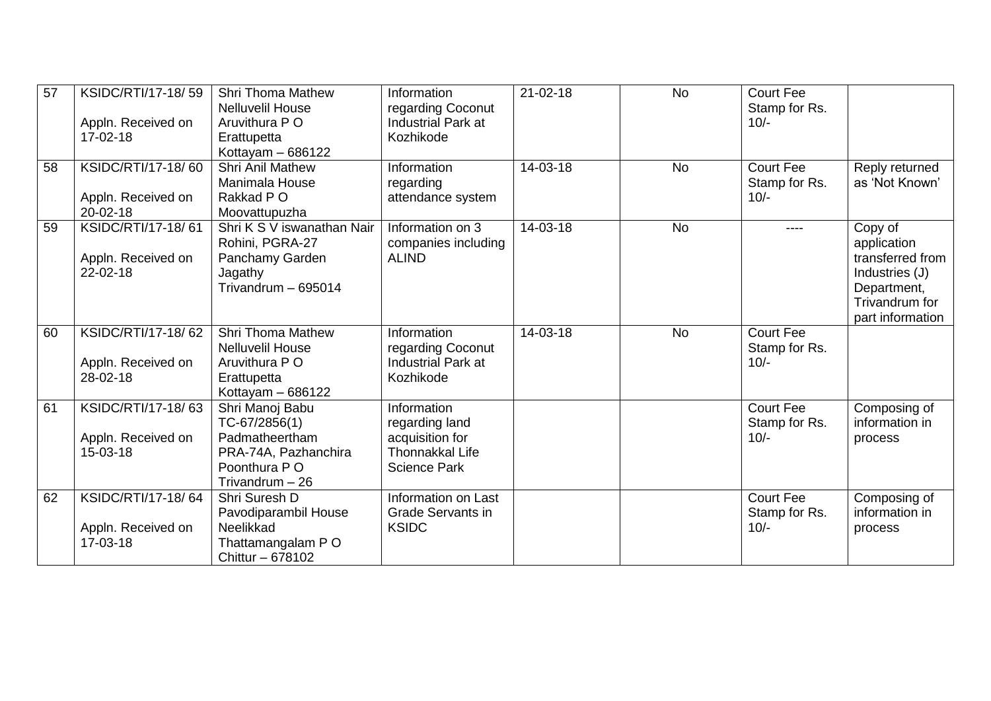| 57 | KSIDC/RTI/17-18/59             | <b>Shri Thoma Mathew</b>          | Information                               | $21 - 02 - 18$ | <b>No</b> | <b>Court Fee</b>        |                  |
|----|--------------------------------|-----------------------------------|-------------------------------------------|----------------|-----------|-------------------------|------------------|
|    |                                | <b>Nelluvelil House</b>           | regarding Coconut                         |                |           | Stamp for Rs.           |                  |
|    | Appln. Received on<br>17-02-18 | Aruvithura P O                    | Industrial Park at<br>Kozhikode           |                |           | $10/-$                  |                  |
|    |                                | Erattupetta<br>Kottayam $-686122$ |                                           |                |           |                         |                  |
| 58 | KSIDC/RTI/17-18/60             | <b>Shri Anil Mathew</b>           | Information                               | 14-03-18       | <b>No</b> | <b>Court Fee</b>        | Reply returned   |
|    |                                | Manimala House                    | regarding                                 |                |           | Stamp for Rs.           | as 'Not Known'   |
|    | Appln. Received on             | Rakkad P O                        | attendance system                         |                |           | $10/-$                  |                  |
|    | $20 - 02 - 18$                 | Moovattupuzha                     |                                           |                |           |                         |                  |
| 59 | KSIDC/RTI/17-18/61             | Shri K S V iswanathan Nair        | Information on 3                          | 14-03-18       | <b>No</b> | ----                    | Copy of          |
|    |                                | Rohini, PGRA-27                   | companies including                       |                |           |                         | application      |
|    | Appln. Received on             | Panchamy Garden                   | <b>ALIND</b>                              |                |           |                         | transferred from |
|    | 22-02-18                       | Jagathy                           |                                           |                |           |                         | Industries (J)   |
|    |                                | Trivandrum - 695014               |                                           |                |           |                         | Department,      |
|    |                                |                                   |                                           |                |           |                         | Trivandrum for   |
|    |                                |                                   |                                           |                |           |                         | part information |
| 60 | KSIDC/RTI/17-18/62             | <b>Shri Thoma Mathew</b>          | Information                               | 14-03-18       | <b>No</b> | <b>Court Fee</b>        |                  |
|    |                                | <b>Nelluvelil House</b>           | regarding Coconut                         |                |           | Stamp for Rs.           |                  |
|    | Appln. Received on             | Aruvithura P O                    | Industrial Park at                        |                |           | $10/-$                  |                  |
|    | 28-02-18                       | Erattupetta                       | Kozhikode                                 |                |           |                         |                  |
|    |                                | Kottayam $-686122$                |                                           |                |           |                         |                  |
| 61 | KSIDC/RTI/17-18/63             | Shri Manoj Babu                   | Information                               |                |           | <b>Court Fee</b>        | Composing of     |
|    |                                | $TC-67/2856(1)$<br>Padmatheertham | regarding land                            |                |           | Stamp for Rs.<br>$10/-$ | information in   |
|    | Appln. Received on<br>15-03-18 | PRA-74A, Pazhanchira              | acquisition for<br><b>Thonnakkal Life</b> |                |           |                         | process          |
|    |                                | Poonthura P O                     | <b>Science Park</b>                       |                |           |                         |                  |
|    |                                | Trivandrum $-26$                  |                                           |                |           |                         |                  |
| 62 | KSIDC/RTI/17-18/64             | Shri Suresh D                     | Information on Last                       |                |           | <b>Court Fee</b>        | Composing of     |
|    |                                | Pavodiparambil House              | <b>Grade Servants in</b>                  |                |           | Stamp for Rs.           | information in   |
|    | Appln. Received on             | Neelikkad                         | <b>KSIDC</b>                              |                |           | $10/-$                  | process          |
|    | 17-03-18                       | Thattamangalam PO                 |                                           |                |           |                         |                  |
|    |                                | Chittur - 678102                  |                                           |                |           |                         |                  |